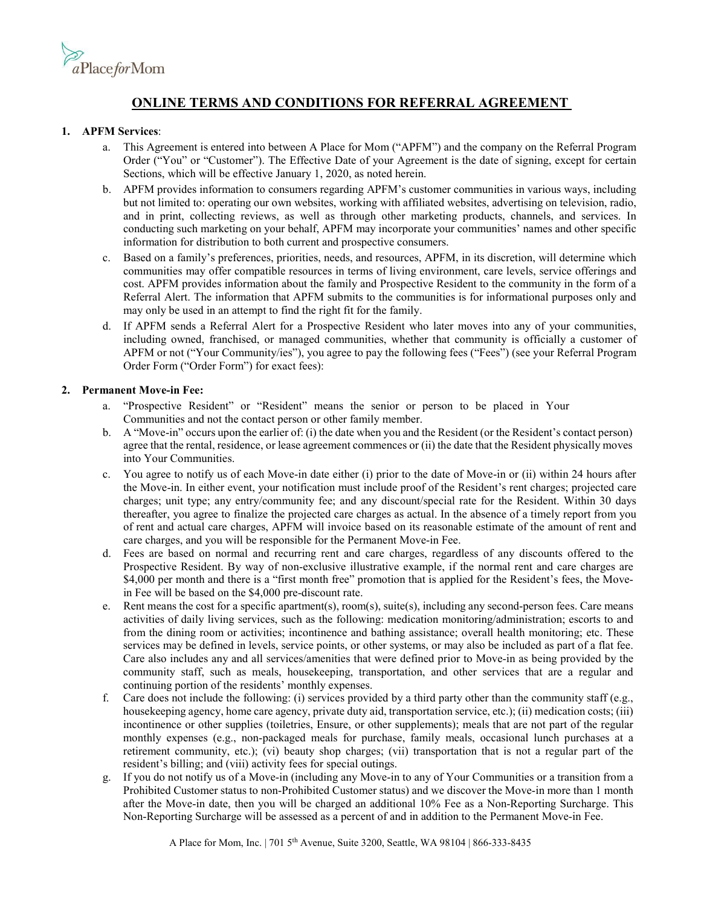

# **ONLINE TERMS AND CONDITIONS FOR REFERRAL AGREEMENT**

### **1. APFM Services**:

- a. This Agreement is entered into between A Place for Mom ("APFM") and the company on the Referral Program Order ("You" or "Customer"). The Effective Date of your Agreement is the date of signing, except for certain Sections, which will be effective January 1, 2020, as noted herein.
- b. APFM provides information to consumers regarding APFM's customer communities in various ways, including but not limited to: operating our own websites, working with affiliated websites, advertising on television, radio, and in print, collecting reviews, as well as through other marketing products, channels, and services. In conducting such marketing on your behalf, APFM may incorporate your communities' names and other specific information for distribution to both current and prospective consumers.
- c. Based on a family's preferences, priorities, needs, and resources, APFM, in its discretion, will determine which communities may offer compatible resources in terms of living environment, care levels, service offerings and cost. APFM provides information about the family and Prospective Resident to the community in the form of a Referral Alert. The information that APFM submits to the communities is for informational purposes only and may only be used in an attempt to find the right fit for the family.
- d. If APFM sends a Referral Alert for a Prospective Resident who later moves into any of your communities, including owned, franchised, or managed communities, whether that community is officially a customer of APFM or not ("Your Community/ies"), you agree to pay the following fees ("Fees") (see your Referral Program Order Form ("Order Form") for exact fees):

### **2. Permanent Move-in Fee:**

- a. "Prospective Resident" or "Resident" means the senior or person to be placed in Your Communities and not the contact person or other family member.
- b. A "Move-in" occurs upon the earlier of: (i) the date when you and the Resident (or the Resident's contact person) agree that the rental, residence, or lease agreement commences or (ii) the date that the Resident physically moves into Your Communities.
- c. You agree to notify us of each Move-in date either (i) prior to the date of Move-in or (ii) within 24 hours after the Move-in. In either event, your notification must include proof of the Resident's rent charges; projected care charges; unit type; any entry/community fee; and any discount/special rate for the Resident. Within 30 days thereafter, you agree to finalize the projected care charges as actual. In the absence of a timely report from you of rent and actual care charges, APFM will invoice based on its reasonable estimate of the amount of rent and care charges, and you will be responsible for the Permanent Move-in Fee.
- d. Fees are based on normal and recurring rent and care charges, regardless of any discounts offered to the Prospective Resident. By way of non-exclusive illustrative example, if the normal rent and care charges are \$4,000 per month and there is a "first month free" promotion that is applied for the Resident's fees, the Movein Fee will be based on the \$4,000 pre-discount rate.
- e. Rent means the cost for a specific apartment(s), room(s), suite(s), including any second-person fees. Care means activities of daily living services, such as the following: medication monitoring/administration; escorts to and from the dining room or activities; incontinence and bathing assistance; overall health monitoring; etc. These services may be defined in levels, service points, or other systems, or may also be included as part of a flat fee. Care also includes any and all services/amenities that were defined prior to Move-in as being provided by the community staff, such as meals, housekeeping, transportation, and other services that are a regular and continuing portion of the residents' monthly expenses.
- f. Care does not include the following: (i) services provided by a third party other than the community staff (e.g., housekeeping agency, home care agency, private duty aid, transportation service, etc.); (ii) medication costs; (iii) incontinence or other supplies (toiletries, Ensure, or other supplements); meals that are not part of the regular monthly expenses (e.g., non-packaged meals for purchase, family meals, occasional lunch purchases at a retirement community, etc.); (vi) beauty shop charges; (vii) transportation that is not a regular part of the resident's billing; and (viii) activity fees for special outings.
- g. If you do not notify us of a Move-in (including any Move-in to any of Your Communities or a transition from a Prohibited Customer status to non-Prohibited Customer status) and we discover the Move-in more than 1 month after the Move-in date, then you will be charged an additional 10% Fee as a Non-Reporting Surcharge. This Non-Reporting Surcharge will be assessed as a percent of and in addition to the Permanent Move-in Fee.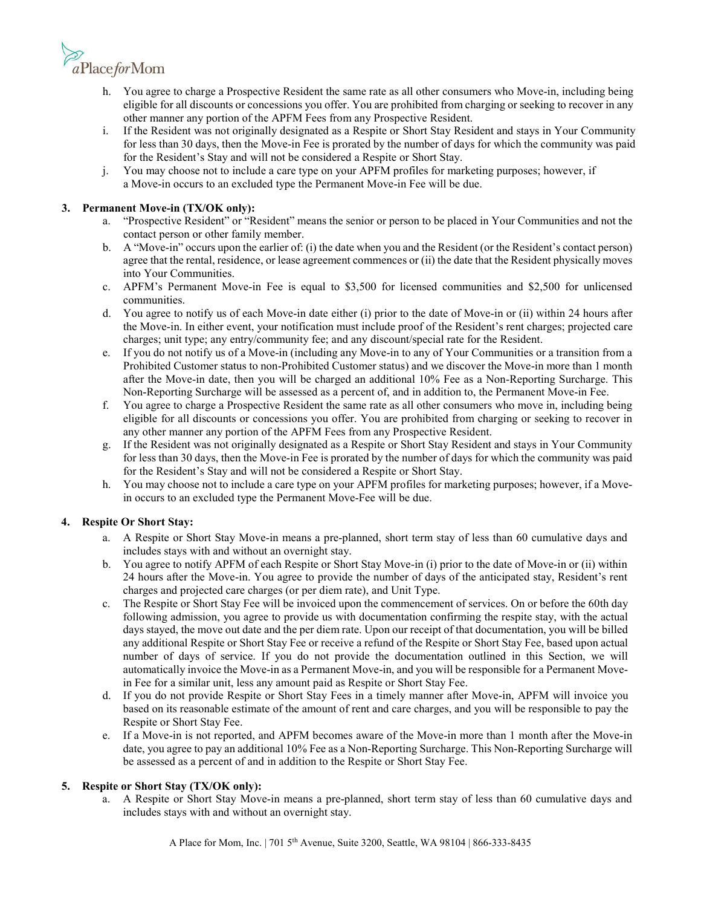

- h. You agree to charge a Prospective Resident the same rate as all other consumers who Move-in, including being eligible for all discounts or concessions you offer. You are prohibited from charging or seeking to recover in any other manner any portion of the APFM Fees from any Prospective Resident.
- i. If the Resident was not originally designated as a Respite or Short Stay Resident and stays in Your Community for less than 30 days, then the Move-in Fee is prorated by the number of days for which the community was paid for the Resident's Stay and will not be considered a Respite or Short Stay.
- j. You may choose not to include a care type on your APFM profiles for marketing purposes; however, if a Move-in occurs to an excluded type the Permanent Move-in Fee will be due.

## **3. Permanent Move-in (TX/OK only):**

- a. "Prospective Resident" or "Resident" means the senior or person to be placed in Your Communities and not the contact person or other family member.
- b. A "Move-in" occurs upon the earlier of: (i) the date when you and the Resident (or the Resident's contact person) agree that the rental, residence, or lease agreement commences or (ii) the date that the Resident physically moves into Your Communities.
- c. APFM's Permanent Move-in Fee is equal to \$3,500 for licensed communities and \$2,500 for unlicensed communities.
- d. You agree to notify us of each Move-in date either (i) prior to the date of Move-in or (ii) within 24 hours after the Move-in. In either event, your notification must include proof of the Resident's rent charges; projected care charges; unit type; any entry/community fee; and any discount/special rate for the Resident.
- e. If you do not notify us of a Move-in (including any Move-in to any of Your Communities or a transition from a Prohibited Customer status to non-Prohibited Customer status) and we discover the Move-in more than 1 month after the Move-in date, then you will be charged an additional 10% Fee as a Non-Reporting Surcharge. This Non-Reporting Surcharge will be assessed as a percent of, and in addition to, the Permanent Move-in Fee.
- f. You agree to charge a Prospective Resident the same rate as all other consumers who move in, including being eligible for all discounts or concessions you offer. You are prohibited from charging or seeking to recover in any other manner any portion of the APFM Fees from any Prospective Resident.
- g. If the Resident was not originally designated as a Respite or Short Stay Resident and stays in Your Community for less than 30 days, then the Move-in Fee is prorated by the number of days for which the community was paid for the Resident's Stay and will not be considered a Respite or Short Stay.
- h. You may choose not to include a care type on your APFM profiles for marketing purposes; however, if a Movein occurs to an excluded type the Permanent Move-Fee will be due.

# **4. Respite Or Short Stay:**

- a. A Respite or Short Stay Move-in means a pre-planned, short term stay of less than 60 cumulative days and includes stays with and without an overnight stay.
- b. You agree to notify APFM of each Respite or Short Stay Move-in (i) prior to the date of Move-in or (ii) within 24 hours after the Move-in. You agree to provide the number of days of the anticipated stay, Resident's rent charges and projected care charges (or per diem rate), and Unit Type.
- c. The Respite or Short Stay Fee will be invoiced upon the commencement of services. On or before the 60th day following admission, you agree to provide us with documentation confirming the respite stay, with the actual days stayed, the move out date and the per diem rate. Upon our receipt of that documentation, you will be billed any additional Respite or Short Stay Fee or receive a refund of the Respite or Short Stay Fee, based upon actual number of days of service. If you do not provide the documentation outlined in this Section, we will automatically invoice the Move-in as a Permanent Move-in, and you will be responsible for a Permanent Movein Fee for a similar unit, less any amount paid as Respite or Short Stay Fee.
- d. If you do not provide Respite or Short Stay Fees in a timely manner after Move-in, APFM will invoice you based on its reasonable estimate of the amount of rent and care charges, and you will be responsible to pay the Respite or Short Stay Fee.
- e. If a Move-in is not reported, and APFM becomes aware of the Move-in more than 1 month after the Move-in date, you agree to pay an additional 10% Fee as a Non-Reporting Surcharge. This Non-Reporting Surcharge will be assessed as a percent of and in addition to the Respite or Short Stay Fee.

#### **5. Respite or Short Stay (TX/OK only):**

a. A Respite or Short Stay Move-in means a pre-planned, short term stay of less than 60 cumulative days and includes stays with and without an overnight stay.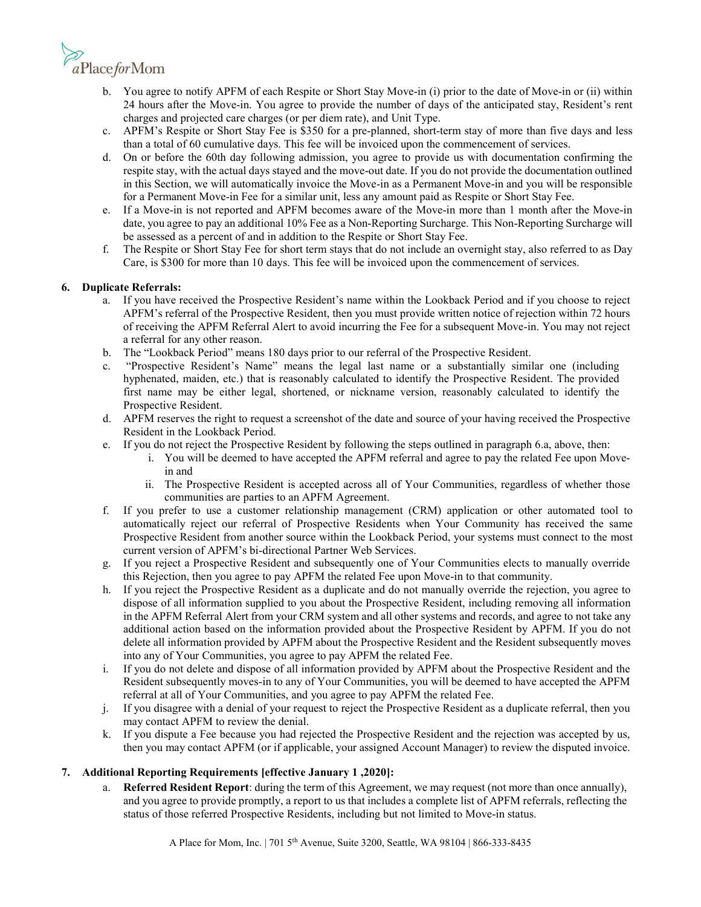

- b. You agree to notify APFM of each Respite or Short Stay Move-in (i) prior to the date of Move-in or (ii) within 24 hours after the Move-in. You agree to provide the number of days of the anticipated stay, Resident's rent charges and projected care charges (or per diem rate), and Unit Type.
- c. APFM's Respite or Short Stay Fee is \$350 for a pre-planned, short-term stay of more than five days and less than a total of 60 cumulative days. This fee will be invoiced upon the commencement of services.
- d. On or before the 60th day following admission, you agree to provide us with documentation confirming the respite stay, with the actual days stayed and the move-out date. If you do not provide the documentation outlined in this Section, we will automatically invoice the Move-in as a Permanent Move-in and you will be responsible for a Permanent Move-in Fee for a similar unit, less any amount paid as Respite or Short Stay Fee.
- e. If a Move-in is not reported and APFM becomes aware of the Move-in more than 1 month after the Move-in date, you agree to pay an additional 10% Fee as a Non-Reporting Surcharge. This Non-Reporting Surcharge will be assessed as a percent of and in addition to the Respite or Short Stay Fee.
- f. The Respite or Short Stay Fee for short term stays that do not include an overnight stay, also referred to as Day Care, is \$300 for more than 10 days. This fee will be invoiced upon the commencement of services.

# **6. Duplicate Referrals:**

- a. If you have received the Prospective Resident's name within the Lookback Period and if you choose to reject APFM's referral of the Prospective Resident, then you must provide written notice of rejection within 72 hours of receiving the APFM Referral Alert to avoid incurring the Fee for a subsequent Move-in. You may not reject a referral for any other reason.
- b. The "Lookback Period" means 180 days prior to our referral of the Prospective Resident.
- c. "Prospective Resident's Name" means the legal last name or a substantially similar one (including hyphenated, maiden, etc.) that is reasonably calculated to identify the Prospective Resident. The provided first name may be either legal, shortened, or nickname version, reasonably calculated to identify the Prospective Resident.
- d. APFM reserves the right to request a screenshot of the date and source of your having received the Prospective Resident in the Lookback Period.
- e. If you do not reject the Prospective Resident by following the steps outlined in paragraph 6.a, above, then:
	- i. You will be deemed to have accepted the APFM referral and agree to pay the related Fee upon Movein and
	- ii. The Prospective Resident is accepted across all of Your Communities, regardless of whether those communities are parties to an APFM Agreement.
- f. If you prefer to use a customer relationship management (CRM) application or other automated tool to automatically reject our referral of Prospective Residents when Your Community has received the same Prospective Resident from another source within the Lookback Period, your systems must connect to the most current version of APFM's bi-directional Partner Web Services.
- g. If you reject a Prospective Resident and subsequently one of Your Communities elects to manually override this Rejection, then you agree to pay APFM the related Fee upon Move-in to that community.
- h. If you reject the Prospective Resident as a duplicate and do not manually override the rejection, you agree to dispose of all information supplied to you about the Prospective Resident, including removing all information in the APFM Referral Alert from your CRM system and all other systems and records, and agree to not take any additional action based on the information provided about the Prospective Resident by APFM. If you do not delete all information provided by APFM about the Prospective Resident and the Resident subsequently moves into any of Your Communities, you agree to pay APFM the related Fee.
- i. If you do not delete and dispose of all information provided by APFM about the Prospective Resident and the Resident subsequently moves-in to any of Your Communities, you will be deemed to have accepted the APFM referral at all of Your Communities, and you agree to pay APFM the related Fee.
- j. If you disagree with a denial of your request to reject the Prospective Resident as a duplicate referral, then you may contact [APFM](mailto:duplicateleads@aplaceformom.com) to review the denial.
- k. If you dispute a Fee because you had rejected the Prospective Resident and the rejection was accepted by us, then you may contact [APFM \(](mailto:duplicateleads@aplaceformom.com)or if applicable, your assigned Account Manager) to review the disputed invoice.

# **7. Additional Reporting Requirements [effective January 1 ,2020]:**

a. **Referred Resident Report**: during the term of this Agreement, we may request (not more than once annually), and you agree to provide promptly, a report to us that includes a complete list of APFM referrals, reflecting the status of those referred Prospective Residents, including but not limited to Move-in status.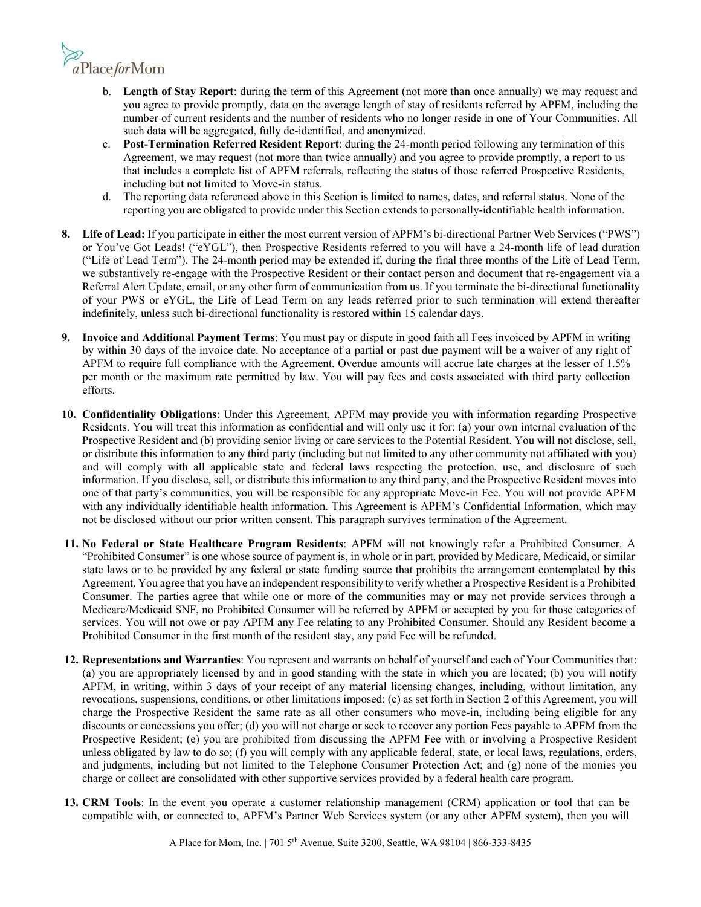

- b. **Length of Stay Report**: during the term of this Agreement (not more than once annually) we may request and you agree to provide promptly, data on the average length of stay of residents referred by APFM, including the number of current residents and the number of residents who no longer reside in one of Your Communities. All such data will be aggregated, fully de-identified, and anonymized.
- c. **Post-Termination Referred Resident Report**: during the 24-month period following any termination of this Agreement, we may request (not more than twice annually) and you agree to provide promptly, a report to us that includes a complete list of APFM referrals, reflecting the status of those referred Prospective Residents, including but not limited to Move-in status.
- d. The reporting data referenced above in this Section is limited to names, dates, and referral status. None of the reporting you are obligated to provide under this Section extends to personally-identifiable health information.
- **8. Life of Lead:** If you participate in either the most current version of APFM's bi-directional Partner Web Services ("PWS") or You've Got Leads! ("eYGL"), then Prospective Residents referred to you will have a 24-month life of lead duration ("Life of Lead Term"). The 24-month period may be extended if, during the final three months of the Life of Lead Term, we substantively re-engage with the Prospective Resident or their contact person and document that re-engagement via a Referral Alert Update, email, or any other form of communication from us. If you terminate the bi-directional functionality of your PWS or eYGL, the Life of Lead Term on any leads referred prior to such termination will extend thereafter indefinitely, unless such bi-directional functionality is restored within 15 calendar days.
- **9. Invoice and Additional Payment Terms**: You must pay or dispute in good faith all Fees invoiced by APFM in writing by within 30 days of the invoice date. No acceptance of a partial or past due payment will be a waiver of any right of APFM to require full compliance with the Agreement. Overdue amounts will accrue late charges at the lesser of 1.5% per month or the maximum rate permitted by law. You will pay fees and costs associated with third party collection efforts.
- **10. Confidentiality Obligations**: Under this Agreement, APFM may provide you with information regarding Prospective Residents. You will treat this information as confidential and will only use it for: (a) your own internal evaluation of the Prospective Resident and (b) providing senior living or care services to the Potential Resident. You will not disclose, sell, or distribute this information to any third party (including but not limited to any other community not affiliated with you) and will comply with all applicable state and federal laws respecting the protection, use, and disclosure of such information. If you disclose, sell, or distribute this information to any third party, and the Prospective Resident moves into one of that party's communities, you will be responsible for any appropriate Move-in Fee. You will not provide APFM with any individually identifiable health information. This Agreement is APFM's Confidential Information, which may not be disclosed without our prior written consent. This paragraph survives termination of the Agreement.
- **11. No Federal or State Healthcare Program Residents**: APFM will not knowingly refer a Prohibited Consumer. A "Prohibited Consumer" is one whose source of payment is, in whole or in part, provided by Medicare, Medicaid, or similar state laws or to be provided by any federal or state funding source that prohibits the arrangement contemplated by this Agreement. You agree that you have an independent responsibility to verify whether a Prospective Resident is a Prohibited Consumer. The parties agree that while one or more of the communities may or may not provide services through a Medicare/Medicaid SNF, no Prohibited Consumer will be referred by APFM or accepted by you for those categories of services. You will not owe or pay APFM any Fee relating to any Prohibited Consumer. Should any Resident become a Prohibited Consumer in the first month of the resident stay, any paid Fee will be refunded.
- **12. Representations and Warranties**: You represent and warrants on behalf of yourself and each of Your Communities that: (a) you are appropriately licensed by and in good standing with the state in which you are located; (b) you will notify APFM, in writing, within 3 days of your receipt of any material licensing changes, including, without limitation, any revocations, suspensions, conditions, or other limitations imposed; (c) as set forth in Section 2 of this Agreement, you will charge the Prospective Resident the same rate as all other consumers who move-in, including being eligible for any discounts or concessions you offer; (d) you will not charge or seek to recover any portion Fees payable to APFM from the Prospective Resident; (e) you are prohibited from discussing the APFM Fee with or involving a Prospective Resident unless obligated by law to do so; (f) you will comply with any applicable federal, state, or local laws, regulations, orders, and judgments, including but not limited to the Telephone Consumer Protection Act; and (g) none of the monies you charge or collect are consolidated with other supportive services provided by a federal health care program.
- **13. CRM Tools**: In the event you operate a customer relationship management (CRM) application or tool that can be compatible with, or connected to, APFM's Partner Web Services system (or any other APFM system), then you will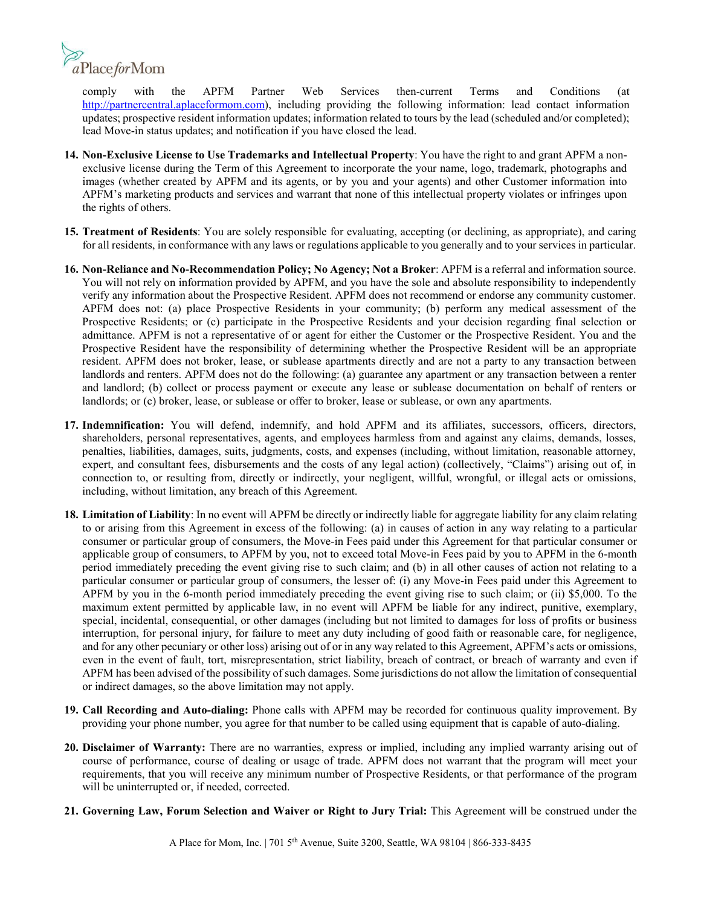

comply with the APFM Partner Web Services then-current Terms and Conditions (at [http://partnercentral.aplaceformom.com\)](http://partnercentral.aplaceformom.com/), including providing the following information: lead contact information updates; prospective resident information updates; information related to tours by the lead (scheduled and/or completed); lead Move-in status updates; and notification if you have closed the lead.

- **14. Non-Exclusive License to Use Trademarks and Intellectual Property**: You have the right to and grant APFM a nonexclusive license during the Term of this Agreement to incorporate the your name, logo, trademark, photographs and images (whether created by APFM and its agents, or by you and your agents) and other Customer information into APFM's marketing products and services and warrant that none of this intellectual property violates or infringes upon the rights of others.
- **15. Treatment of Residents**: You are solely responsible for evaluating, accepting (or declining, as appropriate), and caring for all residents, in conformance with any laws or regulations applicable to you generally and to your services in particular.
- **16. Non-Reliance and No-Recommendation Policy; No Agency; Not a Broker**: APFM is a referral and information source. You will not rely on information provided by APFM, and you have the sole and absolute responsibility to independently verify any information about the Prospective Resident. APFM does not recommend or endorse any community customer. APFM does not: (a) place Prospective Residents in your community; (b) perform any medical assessment of the Prospective Residents; or (c) participate in the Prospective Residents and your decision regarding final selection or admittance. APFM is not a representative of or agent for either the Customer or the Prospective Resident. You and the Prospective Resident have the responsibility of determining whether the Prospective Resident will be an appropriate resident. APFM does not broker, lease, or sublease apartments directly and are not a party to any transaction between landlords and renters. APFM does not do the following: (a) guarantee any apartment or any transaction between a renter and landlord; (b) collect or process payment or execute any lease or sublease documentation on behalf of renters or landlords; or (c) broker, lease, or sublease or offer to broker, lease or sublease, or own any apartments.
- **17. Indemnification:** You will defend, indemnify, and hold APFM and its affiliates, successors, officers, directors, shareholders, personal representatives, agents, and employees harmless from and against any claims, demands, losses, penalties, liabilities, damages, suits, judgments, costs, and expenses (including, without limitation, reasonable attorney, expert, and consultant fees, disbursements and the costs of any legal action) (collectively, "Claims") arising out of, in connection to, or resulting from, directly or indirectly, your negligent, willful, wrongful, or illegal acts or omissions, including, without limitation, any breach of this Agreement.
- **18. Limitation of Liability**: In no event will APFM be directly or indirectly liable for aggregate liability for any claim relating to or arising from this Agreement in excess of the following: (a) in causes of action in any way relating to a particular consumer or particular group of consumers, the Move-in Fees paid under this Agreement for that particular consumer or applicable group of consumers, to APFM by you, not to exceed total Move-in Fees paid by you to APFM in the 6-month period immediately preceding the event giving rise to such claim; and (b) in all other causes of action not relating to a particular consumer or particular group of consumers, the lesser of: (i) any Move-in Fees paid under this Agreement to APFM by you in the 6-month period immediately preceding the event giving rise to such claim; or (ii) \$5,000. To the maximum extent permitted by applicable law, in no event will APFM be liable for any indirect, punitive, exemplary, special, incidental, consequential, or other damages (including but not limited to damages for loss of profits or business interruption, for personal injury, for failure to meet any duty including of good faith or reasonable care, for negligence, and for any other pecuniary or other loss) arising out of or in any way related to this Agreement, APFM's acts or omissions, even in the event of fault, tort, misrepresentation, strict liability, breach of contract, or breach of warranty and even if APFM has been advised of the possibility of such damages. Some jurisdictions do not allow the limitation of consequential or indirect damages, so the above limitation may not apply.
- **19. Call Recording and Auto-dialing:** Phone calls with APFM may be recorded for continuous quality improvement. By providing your phone number, you agree for that number to be called using equipment that is capable of auto-dialing.
- **20. Disclaimer of Warranty:** There are no warranties, express or implied, including any implied warranty arising out of course of performance, course of dealing or usage of trade. APFM does not warrant that the program will meet your requirements, that you will receive any minimum number of Prospective Residents, or that performance of the program will be uninterrupted or, if needed, corrected.
- **21. Governing Law, Forum Selection and Waiver or Right to Jury Trial:** This Agreement will be construed under the